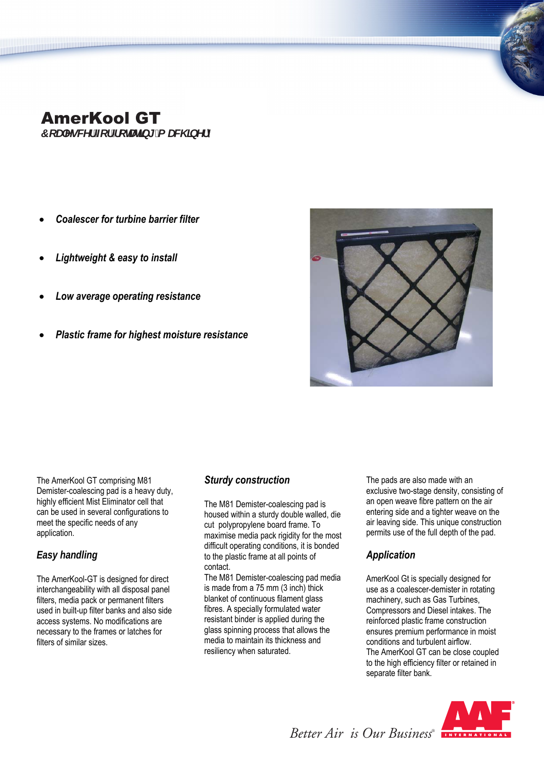# AmerKool GT

*ZcUYgWf Ztf fcHJHb[ 'a UW ]bYfm* 

- *Coalescer for turbine barrier filter*
- *Lightweight & easy to install*
- *Low average operating resistance*
- *Plastic frame for highest moisture resistance*



The AmerKool GT comprising M81 Demister-coalescing pad is a heavy duty, highly efficient Mist Eliminator cell that can be used in several configurations to meet the specific needs of any application.

# *Easy handling*

The AmerKool-GT is designed for direct interchangeability with all disposal panel filters, media pack or permanent filters used in built-up filter banks and also side access systems. No modifications are necessary to the frames or latches for filters of similar sizes.

### *Sturdy construction*

The M81 Demister-coalescing pad is housed within a sturdy double walled, die cut polypropylene board frame. To maximise media pack rigidity for the most difficult operating conditions, it is bonded to the plastic frame at all points of contact.

The M81 Demister-coalescing pad media is made from a 75 mm (3 inch) thick blanket of continuous filament glass fibres. A specially formulated water resistant binder is applied during the glass spinning process that allows the media to maintain its thickness and resiliency when saturated.

The pads are also made with an exclusive two-stage density, consisting of an open weave fibre pattern on the air entering side and a tighter weave on the air leaving side. This unique construction permits use of the full depth of the pad.

# *Application*

AmerKool Gt is specially designed for use as a coalescer-demister in rotating machinery, such as Gas Turbines, Compressors and Diesel intakes. The reinforced plastic frame construction ensures premium performance in moist conditions and turbulent airflow. The AmerKool GT can be close coupled to the high efficiency filter or retained in separate filter bank.



*Better Air is Our Business®*